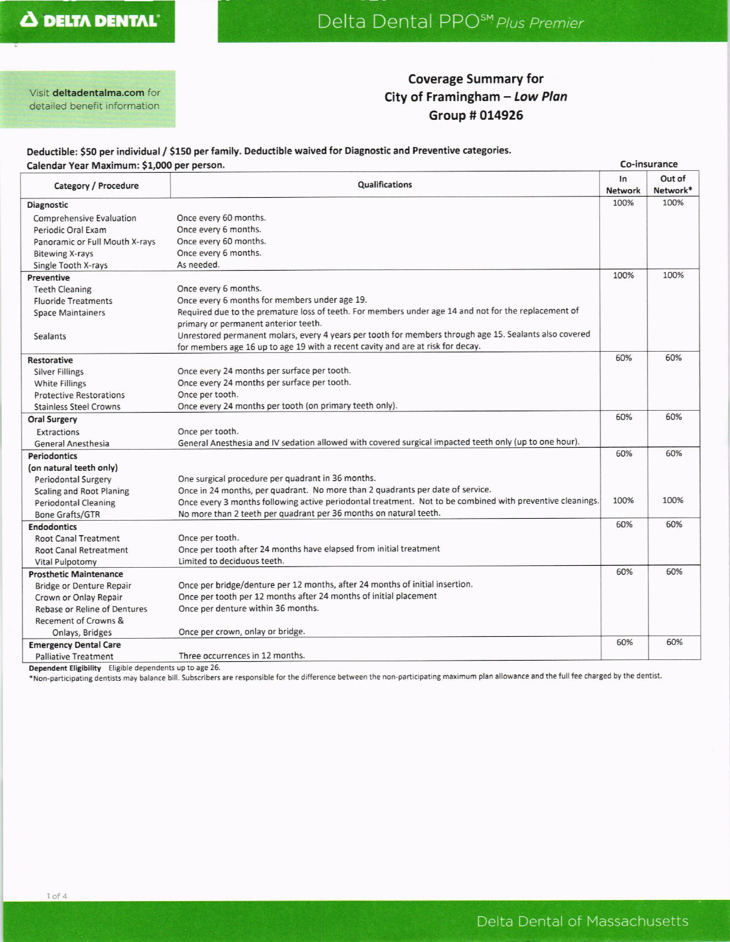Visit deltadentalma.com for detailed benefit information

#### **Coverage Summary for** City of Framingham - Low Plan Group # 014926

#### Deductible: \$50 per individual / \$150 per family. Deductible waived for Diagnostic and Preventive categories. Calendar Year Maximum: \$1,000 per person.

| Calendar Year Maximum: \$1,000 per person. |                                                                                                           | Co-insurance         |                    |
|--------------------------------------------|-----------------------------------------------------------------------------------------------------------|----------------------|--------------------|
| Category / Procedure                       | Qualifications                                                                                            | In<br><b>Network</b> | Out of<br>Network* |
| Diagnostic                                 |                                                                                                           | 100%                 | 100%               |
| Comprehensive Evaluation                   | Once every 60 months.                                                                                     |                      |                    |
| Periodic Oral Exam                         | Once every 6 months.                                                                                      |                      |                    |
| Panoramic or Full Mouth X-rays             | Once every 60 months.                                                                                     |                      |                    |
| <b>Bitewing X-rays</b>                     | Once every 6 months.                                                                                      |                      |                    |
| Single Tooth X-rays                        | As needed.                                                                                                |                      |                    |
| Preventive                                 |                                                                                                           | 100%                 | 100%               |
| <b>Teeth Cleaning</b>                      | Once every 6 months.                                                                                      |                      |                    |
| <b>Fluoride Treatments</b>                 | Once every 6 months for members under age 19.                                                             |                      |                    |
| <b>Space Maintainers</b>                   | Required due to the premature loss of teeth. For members under age 14 and not for the replacement of      |                      |                    |
|                                            | primary or permanent anterior teeth.                                                                      |                      |                    |
| <b>Sealants</b>                            | Unrestored permanent molars, every 4 years per tooth for members through age 15. Sealants also covered    |                      |                    |
|                                            | for members age 16 up to age 19 with a recent cavity and are at risk for decay.                           |                      |                    |
| Restorative                                |                                                                                                           | 60%                  | 60%                |
| <b>Silver Fillings</b>                     | Once every 24 months per surface per tooth.                                                               |                      |                    |
| <b>White Fillings</b>                      | Once every 24 months per surface per tooth.                                                               |                      |                    |
| <b>Protective Restorations</b>             | Once per tooth.                                                                                           |                      |                    |
| <b>Stainless Steel Crowns</b>              | Once every 24 months per tooth (on primary teeth only).                                                   |                      |                    |
| <b>Oral Surgery</b>                        |                                                                                                           | 60%                  | 60%                |
| Extractions                                | Once per tooth.                                                                                           |                      |                    |
| <b>General Anesthesia</b>                  | General Anesthesia and IV sedation allowed with covered surgical impacted teeth only (up to one hour).    |                      |                    |
| <b>Periodontics</b>                        |                                                                                                           | 60%                  | 60%                |
| (on natural teeth only)                    |                                                                                                           |                      |                    |
| <b>Periodontal Surgery</b>                 | One surgical procedure per quadrant in 36 months.                                                         |                      |                    |
| <b>Scaling and Root Planing</b>            | Once in 24 months, per quadrant. No more than 2 quadrants per date of service.                            |                      |                    |
| <b>Periodontal Cleaning</b>                | Once every 3 months following active periodontal treatment. Not to be combined with preventive cleanings. | 100%                 | 100%               |
| <b>Bone Grafts/GTR</b>                     | No more than 2 teeth per quadrant per 36 months on natural teeth.                                         |                      |                    |
| <b>Endodontics</b>                         |                                                                                                           | 60%                  | 60%                |
| <b>Root Canal Treatment</b>                | Once per tooth.                                                                                           |                      |                    |
| <b>Root Canal Retreatment</b>              | Once per tooth after 24 months have elapsed from initial treatment                                        |                      |                    |
| <b>Vital Pulpotomy</b>                     | Limited to deciduous teeth.                                                                               |                      |                    |
| <b>Prosthetic Maintenance</b>              |                                                                                                           | 60%                  | 60%                |
| <b>Bridge or Denture Repair</b>            | Once per bridge/denture per 12 months, after 24 months of initial insertion.                              |                      |                    |
| Crown or Onlay Repair                      | Once per tooth per 12 months after 24 months of initial placement                                         |                      |                    |
| Rebase or Reline of Dentures               | Once per denture within 36 months.                                                                        |                      |                    |
| <b>Recement of Crowns &amp;</b>            |                                                                                                           |                      |                    |
| Onlays, Bridges                            | Once per crown, onlay or bridge.                                                                          |                      |                    |
| <b>Emergency Dental Care</b>               |                                                                                                           | 60%                  | 60%                |
| <b>Palliative Treatment</b>                | Three occurrences in 12 months.                                                                           |                      |                    |

Dependent Eligibility Eligible dependents up to age 26.

\*Non-participating dentists may balance bill. Subscribers are responsible for the difference between the non-participating maximum plan allowance and the full fee charged by the dentist.